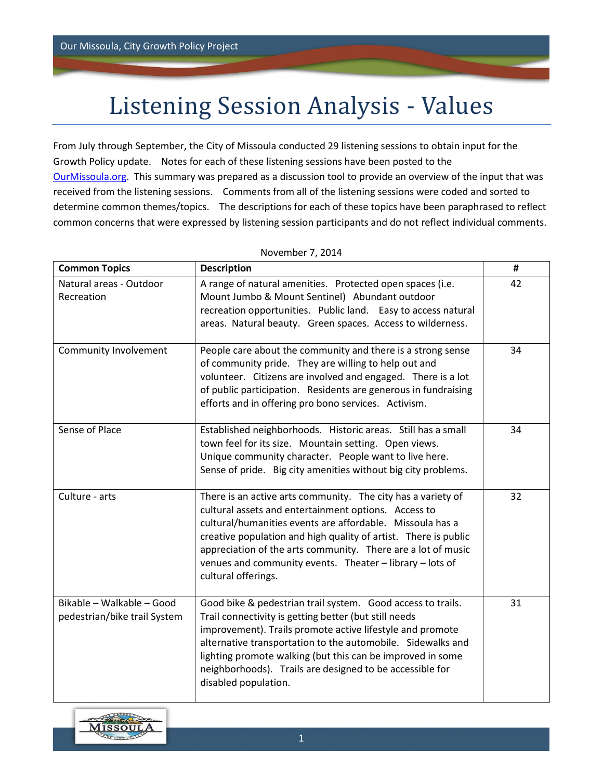## Listening Session Analysis - Values

From July through September, the City of Missoula conducted 29 listening sessions to obtain input for the Growth Policy update. Notes for each of these listening sessions have been posted to the [OurMissoula.org.](file:///C:/Users/Kate/Desktop/AC%20Jobs/Missoula/Focus%20Group/ourmissoula.org) This summary was prepared as a discussion tool to provide an overview of the input that was received from the listening sessions. Comments from all of the listening sessions were coded and sorted to determine common themes/topics. The descriptions for each of these topics have been paraphrased to reflect common concerns that were expressed by listening session participants and do not reflect individual comments.

| <b>Common Topics</b>                                      | <b>Description</b>                                                                                                                                                                                                                                                                                                                                                                                      | #  |
|-----------------------------------------------------------|---------------------------------------------------------------------------------------------------------------------------------------------------------------------------------------------------------------------------------------------------------------------------------------------------------------------------------------------------------------------------------------------------------|----|
| Natural areas - Outdoor<br>Recreation                     | A range of natural amenities. Protected open spaces (i.e.<br>Mount Jumbo & Mount Sentinel) Abundant outdoor<br>recreation opportunities. Public land. Easy to access natural<br>areas. Natural beauty. Green spaces. Access to wilderness.                                                                                                                                                              | 42 |
| Community Involvement                                     | People care about the community and there is a strong sense<br>of community pride. They are willing to help out and<br>volunteer. Citizens are involved and engaged. There is a lot<br>of public participation. Residents are generous in fundraising<br>efforts and in offering pro bono services. Activism.                                                                                           | 34 |
| Sense of Place                                            | Established neighborhoods. Historic areas. Still has a small<br>town feel for its size. Mountain setting. Open views.<br>Unique community character. People want to live here.<br>Sense of pride. Big city amenities without big city problems.                                                                                                                                                         | 34 |
| Culture - arts                                            | There is an active arts community. The city has a variety of<br>cultural assets and entertainment options. Access to<br>cultural/humanities events are affordable. Missoula has a<br>creative population and high quality of artist. There is public<br>appreciation of the arts community. There are a lot of music<br>venues and community events. Theater - library - lots of<br>cultural offerings. | 32 |
| Bikable - Walkable - Good<br>pedestrian/bike trail System | Good bike & pedestrian trail system. Good access to trails.<br>Trail connectivity is getting better (but still needs<br>improvement). Trails promote active lifestyle and promote<br>alternative transportation to the automobile. Sidewalks and<br>lighting promote walking (but this can be improved in some<br>neighborhoods). Trails are designed to be accessible for<br>disabled population.      | 31 |

## November 7, 2014

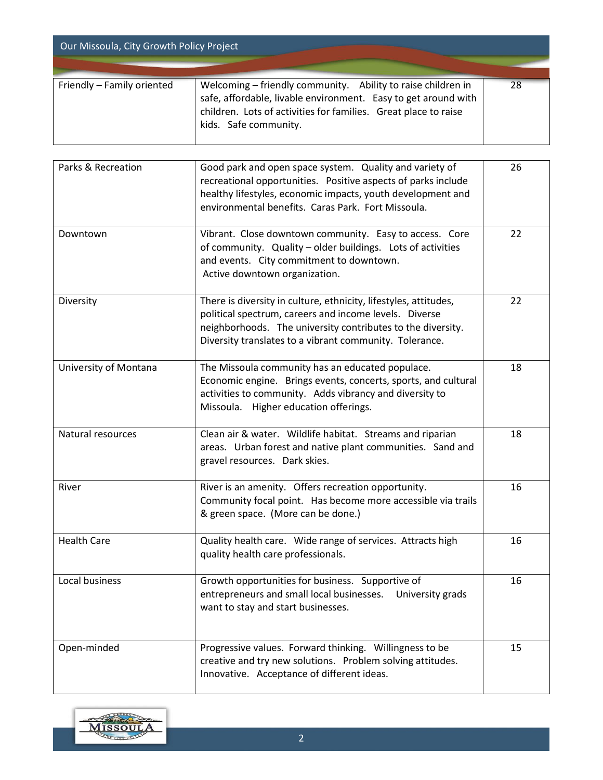| Our Missoula, City Growth Policy Project |                                                                                                                                                                                                                            |    |  |  |
|------------------------------------------|----------------------------------------------------------------------------------------------------------------------------------------------------------------------------------------------------------------------------|----|--|--|
| Friendly - Family oriented               | Welcoming – friendly community. Ability to raise children in<br>safe, affordable, livable environment. Easy to get around with<br>children. Lots of activities for families. Great place to raise<br>kids. Safe community. | 28 |  |  |

| Parks & Recreation    | Good park and open space system. Quality and variety of<br>recreational opportunities. Positive aspects of parks include<br>healthy lifestyles, economic impacts, youth development and<br>environmental benefits. Caras Park. Fort Missoula.        | 26 |
|-----------------------|------------------------------------------------------------------------------------------------------------------------------------------------------------------------------------------------------------------------------------------------------|----|
| Downtown              | Vibrant. Close downtown community. Easy to access. Core<br>of community. Quality - older buildings. Lots of activities<br>and events. City commitment to downtown.<br>Active downtown organization.                                                  | 22 |
| Diversity             | There is diversity in culture, ethnicity, lifestyles, attitudes,<br>political spectrum, careers and income levels. Diverse<br>neighborhoods. The university contributes to the diversity.<br>Diversity translates to a vibrant community. Tolerance. | 22 |
| University of Montana | The Missoula community has an educated populace.<br>Economic engine. Brings events, concerts, sports, and cultural<br>activities to community. Adds vibrancy and diversity to<br>Missoula. Higher education offerings.                               | 18 |
| Natural resources     | Clean air & water. Wildlife habitat. Streams and riparian<br>areas. Urban forest and native plant communities. Sand and<br>gravel resources. Dark skies.                                                                                             | 18 |
| River                 | River is an amenity. Offers recreation opportunity.<br>Community focal point. Has become more accessible via trails<br>& green space. (More can be done.)                                                                                            | 16 |
| <b>Health Care</b>    | Quality health care. Wide range of services. Attracts high<br>quality health care professionals.                                                                                                                                                     | 16 |
| Local business        | Growth opportunities for business. Supportive of<br>entrepreneurs and small local businesses.<br>University grads<br>want to stay and start businesses.                                                                                              | 16 |
| Open-minded           | Progressive values. Forward thinking. Willingness to be<br>creative and try new solutions. Problem solving attitudes.<br>Innovative. Acceptance of different ideas.                                                                                  | 15 |